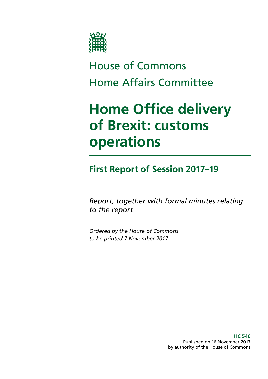

# House of Commons Home Affairs Committee

# **Home Office delivery of Brexit: customs operations**

**First Report of Session 2017–19**

*Report, together with formal minutes relating to the report*

*Ordered by the House of Commons to be printed 7 November 2017*

> **HC 540** Published on 16 November 2017 by authority of the House of Commons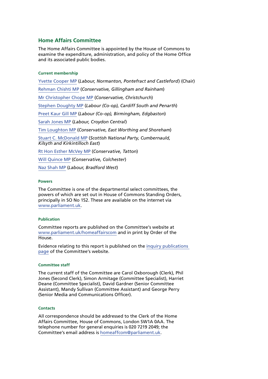#### **Home Affairs Committee**

The Home Affairs Committee is appointed by the House of Commons to examine the expenditure, administration, and policy of the Home Office and its associated public bodies.

#### **Current membership**

[Yvette Cooper MP](http://www.parliament.uk/biographies/commons/yvette-cooper/420) (*Labour, Normanton, Pontefract and Castleford*) (Chair) [Rehman Chishti MP](http://www.parliament.uk/biographies/commons/rehman-chishti/3987) (*Conservative, Gillingham and Rainham*) [Mr Christopher Chope MP](http://www.parliament.uk/biographies/commons/mr-christopher-chope/242) (*Conservative, Christchurch*) [Stephen Doughty MP](http://www.parliament.uk/biographies/commons/stephen-doughty/4264) (*Labour (Co-op), Cardiff South and Penarth*) [Preet Kaur Gill MP](http://www.parliament.uk/biographies/commons/preet-kaur-gill/4603) (*Labour (Co-op), Birmingham, Edgbaston*) [Sarah Jones MP](http://www.parliament.uk/biographies/commons/sarah-jones/4631) (*Labour, Croydon Central*) [Tim Loughton MP](http://www.parliament.uk/biographies/commons/tim-loughton/114) (*Conservative, East Worthing and Shoreham*) [Stuart C. McDonald MP](http://www.parliament.uk/biographies/commons/stuart-c.-mcdonald/4393) (*Scottish National Party, Cumbernauld, Kilsyth and Kirkintilloch East*) [Rt Hon Esther McVey MP](http://www.parliament.uk/biographies/commons/esther-mcvey/4084) (*Conservative, Tatton*) [Will Quince MP](http://www.parliament.uk/biographies/commons/will-quince/4423) (*Conservative, Colchester*) [Naz Shah MP](http://www.parliament.uk/biographies/commons/naz-shah/4409) (*Labour, Bradford West*)

#### **Powers**

The Committee is one of the departmental select committees, the powers of which are set out in House of Commons Standing Orders, principally in SO No 152. These are available on the internet via [www.parliament.uk](http://www.parliament.uk).

#### **Publication**

Committee reports are published on the Committee's website at [www.parliament.uk/homeaffairscom](http://www.parliament.uk/homeaffairscom) and in print by Order of the House.

Evidence relating to this report is published on the [inquiry publications](http://www.parliament.uk/business/committees/committees-a-z/commons-select/home-affairs-committee/inquiries/parliament-2015/inquiry5/publications/)  [page](http://www.parliament.uk/business/committees/committees-a-z/commons-select/home-affairs-committee/inquiries/parliament-2015/inquiry5/publications/) of the Committee's website.

#### **Committee staff**

The current staff of the Committee are Carol Oxborough (Clerk), Phil Jones (Second Clerk), Simon Armitage (Committee Specialist), Harriet Deane (Committee Specialist), David Gardner (Senior Committee Assistant), Mandy Sullivan (Committee Assistant) and George Perry (Senior Media and Communications Officer).

#### **Contacts**

All correspondence should be addressed to the Clerk of the Home Affairs Committee, House of Commons, London SW1A 0AA. The telephone number for general enquiries is 020 7219 2049; the Committee's email address is [homeaffcom@parliament.uk.](mailto:homeaffcom@parliament.uk)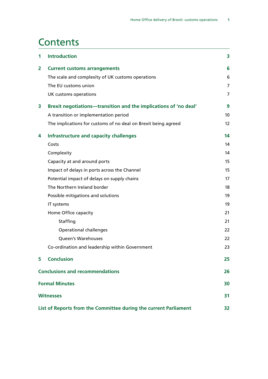## **Contents**

| 1                                                                | <b>Introduction</b>                                              | 3              |
|------------------------------------------------------------------|------------------------------------------------------------------|----------------|
| 2                                                                | <b>Current customs arrangements</b>                              | 6              |
|                                                                  | The scale and complexity of UK customs operations                | 6              |
|                                                                  | The EU customs union                                             | $\overline{7}$ |
|                                                                  | UK customs operations                                            | $\overline{7}$ |
| 3                                                                | Brexit negotiations-transition and the implications of 'no deal' | 9              |
|                                                                  | A transition or implementation period                            | 10             |
|                                                                  | The implications for customs of no deal on Brexit being agreed   | 12             |
| 4                                                                | Infrastructure and capacity challenges                           | 14             |
|                                                                  | Costs                                                            | 14             |
|                                                                  | Complexity                                                       | 14             |
|                                                                  | Capacity at and around ports                                     | 15             |
|                                                                  | Impact of delays in ports across the Channel                     | 15             |
|                                                                  | Potential impact of delays on supply chains                      | 17             |
|                                                                  | The Northern Ireland border                                      | 18             |
|                                                                  | Possible mitigations and solutions                               | 19             |
|                                                                  | IT systems                                                       | 19             |
|                                                                  | Home Office capacity                                             | 21             |
|                                                                  | Staffing                                                         | 21             |
|                                                                  | <b>Operational challenges</b>                                    | 22             |
|                                                                  | Queen's Warehouses                                               | 22             |
|                                                                  | Co-ordination and leadership within Government                   | 23             |
| 5                                                                | <b>Conclusion</b>                                                | 25             |
| <b>Conclusions and recommendations</b>                           |                                                                  | 26             |
| <b>Formal Minutes</b>                                            |                                                                  | 30             |
| <b>Witnesses</b>                                                 |                                                                  |                |
| List of Reports from the Committee during the current Parliament |                                                                  |                |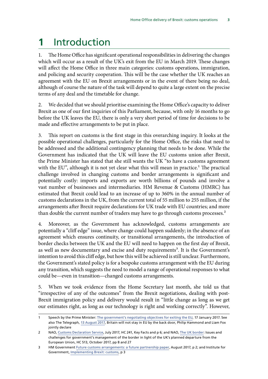## <span id="page-4-0"></span>**1** Introduction

1. The Home Office has significant operational responsibilities in delivering the changes which will occur as a result of the UK's exit from the EU in March 2019. These changes will affect the Home Office in three main categories: customs operations, immigration, and policing and security cooperation. This will be the case whether the UK reaches an agreement with the EU on Brexit arrangements or in the event of there being no deal, although of course the nature of the task will depend to quite a large extent on the precise terms of any deal and the timetable for change.

2. We decided that we should prioritise examining the Home Office's capacity to deliver Brexit as one of our first inquiries of this Parliament, because, with only 16 months to go before the UK leaves the EU, there is only a very short period of time for decisions to be made and effective arrangements to be put in place.

3. This report on customs is the first stage in this overarching inquiry. It looks at the possible operational challenges, particularly for the Home Office, the risks that need to be addressed and the additional contingency planning that needs to be done. While the Government has indicated that the UK will leave the EU customs union after Brexit, the Prime Minister has stated that she still wants the UK "to have a customs agreement with the EU", although it is not yet clear what this will mean in practice.<sup>1</sup> The practical challenge involved in changing customs and border arrangements is significant and potentially costly: imports and exports are worth billions of pounds and involve a vast number of businesses and intermediaries. HM Revenue & Customs (HMRC) has estimated that Brexit could lead to an increase of up to 360% in the annual number of customs declarations in the UK, from the current total of 55 million to 255 million, if the arrangements after Brexit require declarations for UK trade with EU countries; and more than double the current number of traders may have to go through customs processes.<sup>2</sup>

4. Moreover, as the Government has acknowledged, customs arrangements are potentially a "cliff edge" issue, where change could happen suddenly; in the absence of an agreement which ensures continuity, or transitional arrangements, the introduction of border checks between the UK and the EU will need to happen on the first day of Brexit, as well as new documentary and excise and duty requirements<sup>3</sup>. It is the Government's intention to avoid this cliff edge, but how this will be achieved is still unclear. Furthermore, the Government's stated policy is for a bespoke customs arrangement with the EU during any transition, which suggests the need to model a range of operational responses to what could be—even in transition—changed customs arrangements.

5. When we took evidence from the Home Secretary last month, she told us that "irrespective of any of the outcomes" from the Brexit negotiations, dealing with post-Brexit immigration policy and delivery would result in "little change as long as we get our estimates right, as long as our technology is right and working correctly". However,

<sup>1</sup> Speech by the Prime Minister: [The government's negotiating objectives for exiting the EU,](https://www.gov.uk/government/speeches/the-governments-negotiating-objectives-for-exiting-the-eu-pm-speech) 17 January 2017. See also The Telegraph, [13 August 2017](http://www.telegraph.co.uk/news/2017/08/12/britain-will-not-stay-eu-back-door-philip-hammond-liam-fox-declare/), Britain will not stay in EU by the back door, Philip Hammond and Liam Fox jointly declare

<sup>2</sup> NAO, [Customs Declaration Service](https://www.nao.org.uk/report/the-customs-declaration-service/), July 2017, HC 241, Key Facts and p 6; and NAO, [The UK border](https://www.nao.org.uk/wp-content/uploads/2017/10/The-UK-border.pdf): Issues and challenges for government's management of the border in light of the UK's planned departure from the European Union, HC 513, October 2017, pp 8 and 27

<sup>3</sup> HM Government [Future customs arrangements: a future partnership paper](https://www.gov.uk/government/uploads/system/uploads/attachment_data/file/637748/Future_customs_arrangements_-_a_future_partnership_paper.pdf), August 2017, p 2; and Institute for Government, Implementing Brexit: customs, p 3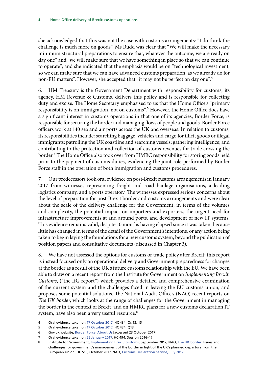she acknowledged that this was not the case with customs arrangements: "I do think the challenge is much more on goods". Ms Rudd was clear that "We will make the necessary minimum structural preparations to ensure that, whatever the outcome, we are ready on day one" and "we will make sure that we have something in place so that we can continue to operate"; and she indicated that the emphasis would be on "technological investment, so we can make sure that we can have advanced customs preparation, as we already do for non-EU matters". However, she accepted that "it may not be perfect on day one".<sup>4</sup>

6. HM Treasury is the Government Department with responsibility for customs; its agency, HM Revenue & Customs, delivers this policy and is responsible for collecting duty and excise. The Home Secretary emphasised to us that the Home Office's "primary responsibility is on immigration, not on customs".<sup>5</sup> However, the Home Office does have a significant interest in customs operations in that one of its agencies, Border Force, is responsible for securing the border and managing flows of people and goods. Border Force officers work at 140 sea and air ports across the UK and overseas. In relation to customs, its responsibilities include: searching baggage, vehicles and cargo for illicit goods or illegal immigrants; patrolling the UK coastline and searching vessels; gathering intelligence; and contributing to the protection and collection of customs revenues for trade crossing the border.<sup>6</sup> The Home Office also took over from HMRC responsibility for storing goods held prior to the payment of customs duties, evidencing the joint role performed by Border Force staff in the operation of both immigration and customs procedures.

7. Our predecessors took oral evidence on post-Brexit customs arrangements in January 2017 from witnesses representing freight and road haulage organisations, a leading logistics company, and a ports operator.<sup>7</sup> The witnesses expressed serious concerns about the level of preparation for post-Brexit border and customs arrangements and were clear about the scale of the delivery challenge for the Government, in terms of the volumes and complexity, the potential impact on importers and exporters, the urgent need for infrastructure improvements at and around ports, and development of new IT systems. This evidence remains valid, despite 10 months having elapsed since it was taken, because little has changed in terms of the detail of the Government's intentions, or any action being taken to begin laying the foundations for a new customs system, beyond the publication of position papers and consultative documents (discussed in Chapter 3).

8. We have not assessed the options for customs or trade policy after Brexit; this report is instead focused only on operational delivery and Government preparedness for changes at the border as a result of the UK's future customs relationship with the EU. We have been able to draw on a recent report from the Institute for Government on *Implementing Brexit: Customs*, ("the IfG report") which provides a detailed and comprehensive examination of the current system and the challenges faced in leaving the EU customs union, and proposes some potential solutions. The National Audit Office's (NAO) recent reports on *The UK border*, which looks at the range of challenges for the Government in managing the border in the context of Brexit, and on HMRC plans for a new customs declaration IT system, have also been a very useful resource.<sup>8</sup>

<sup>4</sup> Oral evidence taken on [17 October 2017](http://data.parliament.uk/writtenevidence/committeeevidence.svc/evidencedocument/home-affairs-committee/the-work-of-the-home-secretary/oral/71645.pdf), HC 434, Qs 13, 15

<sup>5</sup> Oral evidence taken on [17 October 2017](http://data.parliament.uk/writtenevidence/committeeevidence.svc/evidencedocument/home-affairs-committee/the-work-of-the-home-secretary/oral/71645.pdf), HC 434, Q13

<sup>6</sup> Gov.uk website, [Border Force: About Us](https://www.gov.uk/government/organisations/border-force/about) [accessed 23 October 2017]

<sup>7</sup> Oral evidence taken on [25 January 2017,](http://data.parliament.uk/writtenevidence/committeeevidence.svc/evidencedocument/home-affairs-committee/implications-of-the-uks-exit-from-the-european-union/oral/46107.pdf) HC 494, Session 2016-17

<sup>8</sup> Institute for Government, [Implementing Brexit: customs](https://www.instituteforgovernment.org.uk/sites/default/files/publications/IfG_Brexit_customs_WEB_0.pdf), September 2017; NAO, [The UK border:](https://www.nao.org.uk/wp-content/uploads/2017/10/The-UK-border.pdf) Issues and challenges for government's management of the border in light of the UK's planned departure from the European Union, HC 513, October 2017, NAO, [Customs Declaration Service,](https://www.nao.org.uk/report/the-customs-declaration-service/) July 2017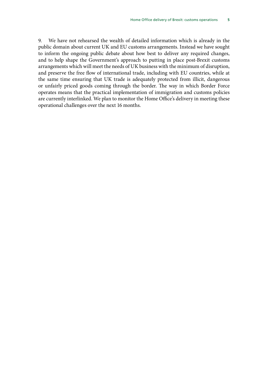9. We have not rehearsed the wealth of detailed information which is already in the public domain about current UK and EU customs arrangements. Instead we have sought to inform the ongoing public debate about how best to deliver any required changes, and to help shape the Government's approach to putting in place post-Brexit customs arrangements which will meet the needs of UK business with the minimum of disruption, and preserve the free flow of international trade, including with EU countries, while at the same time ensuring that UK trade is adequately protected from illicit, dangerous or unfairly priced goods coming through the border. The way in which Border Force operates means that the practical implementation of immigration and customs policies are currently interlinked. We plan to monitor the Home Office's delivery in meeting these operational challenges over the next 16 months.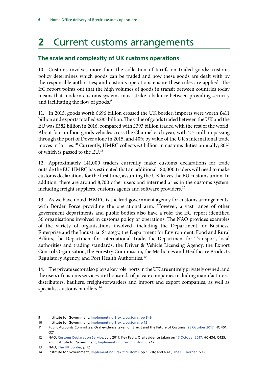## <span id="page-7-0"></span>**2** Current customs arrangements

### **The scale and complexity of UK customs operations**

10. Customs involves more than the collection of tariffs on traded goods: customs policy determines which goods can be traded and how these goods are dealt with by the responsible authorities; and customs operations ensure these rules are applied. The IfG report points out that the high volumes of goods in transit between countries today means that modern customs systems must strike a balance between providing security and facilitating the flow of goods.<sup>9</sup>

11. In 2015, goods worth £696 billion crossed the UK border; imports were worth £411 billion and exports totalled £285 billion. The value of goods traded between the UK and the EU was £382 billion in 2016, compared with £393 billion traded with the rest of the world. About four million goods vehicles cross the Channel each year, with 2.5 million passing through the port of Dover alone in 2015; and 40% by value of the UK's international trade moves in lorries.10 Currently, HMRC collects £3 billion in customs duties annually; 80% of which is passed to the EU.<sup>11</sup>

12. Approximately 141,000 traders currently make customs declarations for trade outside the EU. HMRC has estimated that an additional 180,000 traders will need to make customs declarations for the first time, assuming the UK leaves the EU customs union. In addition, there are around 8,700 other users and intermediaries in the customs system, including freight suppliers, customs agents and software providers.<sup>12</sup>

13. As we have noted, HMRC is the lead government agency for customs arrangements, with Border Force providing the operational arm. However, a vast range of other government departments and public bodies also have a role: the IfG report identified 36 organisations involved in customs policy or operations. The NAO provides examples of the variety of organisations involved—including the Department for Business, Enterprise and the Industrial Strategy, the Department for Environment, Food and Rural Affairs, the Department for International Trade, the Department for Transport, local authorities and trading standards, the Driver & Vehicle Licensing Agency, the Export Control Organisation, the Forestry Commission, the Medicines and Healthcare Products Regulatory Agency, and Port Health Authorities.<sup>13</sup>

14. The private sector also plays a key role: ports in the UK are entirely privately owned; and the users of customs services are thousands of private companies including manufacturers, distributors, hauliers, freight-forwarders and import and export companies, as well as specialist customs handlers.<sup>14</sup>

<sup>9</sup> Institute for Government, [Implementing Brexit: customs](https://www.instituteforgovernment.org.uk/sites/default/files/publications/IfG_Brexit_customs_WEB_0.pdf), pp 8–9

<sup>10</sup> Institute for Government, [Implementing Brexit: customs](https://www.instituteforgovernment.org.uk/sites/default/files/publications/IfG_Brexit_customs_WEB_0.pdf), p 12

<sup>11</sup> Public Accounts Committee, Oral evidence taken on Brexit and the Future of Customs, [25 October 2017](http://data.parliament.uk/writtenevidence/committeeevidence.svc/evidencedocument/public-accounts-committee/brexit-and-the-future-of-customs/oral/72078.pdf), HC 401, Q21

<sup>12</sup> NAO, [Customs Declaration Service](https://www.nao.org.uk/report/the-customs-declaration-service/), July 2017, Key Facts; Oral evidence taken on [17 October 2017,](http://data.parliament.uk/writtenevidence/committeeevidence.svc/evidencedocument/home-affairs-committee/the-work-of-the-home-secretary/oral/71645.pdf) HC 434, Q125; and Institute for Government, [Implementing Brexit: customs](https://www.instituteforgovernment.org.uk/sites/default/files/publications/IfG_Brexit_customs_WEB_0.pdf), p 12

<sup>13</sup> NAO, [The UK border,](https://www.nao.org.uk/wp-content/uploads/2017/10/The-UK-border.pdf) p 12

<sup>14</sup> Institute for Government, [Implementing Brexit: customs](https://www.instituteforgovernment.org.uk/sites/default/files/publications/IfG_Brexit_customs_WEB_0.pdf), pp 15–16; and NAO, [The UK border](https://www.nao.org.uk/wp-content/uploads/2017/10/The-UK-border.pdf), p 12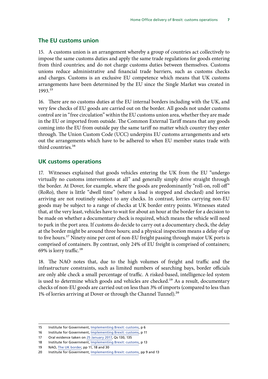#### <span id="page-8-0"></span>**The EU customs union**

15. A customs union is an arrangement whereby a group of countries act collectively to impose the same customs duties and apply the same trade regulations for goods entering from third countries; and do not charge customs duties between themselves. Customs unions reduce administrative and financial trade barriers, such as customs checks and charges. Customs is an exclusive EU competence which means that UK customs arrangements have been determined by the EU since the Single Market was created in 1993.15

16. There are no customs duties at the EU internal borders including with the UK, and very few checks of EU goods are carried out on the border. All goods not under customs control are in "free circulation" within the EU customs union area, whether they are made in the EU or imported from outside. The Common External Tariff means that any goods coming into the EU from outside pay the same tariff no matter which country they enter through. The Union Custom Code (UCC) underpins EU customs arrangements and sets out the arrangements which have to be adhered to when EU member states trade with third countries.16

#### **UK customs operations**

17. Witnesses explained that goods vehicles entering the UK from the EU "undergo virtually no customs interventions at all" and generally simply drive straight through the border. At Dover, for example, where the goods are predominantly "roll-on, roll off" (RoRo), there is little "dwell time" (where a load is stopped and checked) and lorries arriving are not routinely subject to any checks. In contrast, lorries carrying non-EU goods may be subject to a range of checks at UK border entry points. Witnesses stated that, at the very least, vehicles have to wait for about an hour at the border for a decision to be made on whether a documentary check is required, which means the vehicle will need to park in the port area. If customs do decide to carry out a documentary check, the delay at the border might be around three hours; and a physical inspection means a delay of up to five hours.<sup>17</sup> Ninety-nine per cent of non-EU freight passing through major UK ports is comprised of containers. By contrast, only 24% of EU freight is comprised of containers; 69% is lorry traffic.<sup>18</sup>

18. The NAO notes that, due to the high volumes of freight and traffic and the infrastructure constraints, such as limited numbers of searching bays, border officials are only able check a small percentage of traffic. A risked-based, intelligence-led system is used to determine which goods and vehicles are checked.<sup>19</sup> As a result, documentary checks of non-EU goods are carried out on less than 3% of imports (compared to less than 1% of lorries arriving at Dover or through the Channel Tunnel).<sup>20</sup>

<sup>15</sup> Institute for Government, [Implementing Brexit: customs](https://www.instituteforgovernment.org.uk/sites/default/files/publications/IfG_Brexit_customs_WEB_0.pdf), p 6

<sup>16</sup> Institute for Government, [Implementing Brexit: customs](https://www.instituteforgovernment.org.uk/sites/default/files/publications/IfG_Brexit_customs_WEB_0.pdf), p 11

<sup>17</sup> Oral evidence taken on [25 January 2017,](http://data.parliament.uk/writtenevidence/committeeevidence.svc/evidencedocument/home-affairs-committee/implications-of-the-uks-exit-from-the-european-union/oral/46107.pdf) Qs 130, 135

<sup>18</sup> Institute for Government, [Implementing Brexit: customs](https://www.instituteforgovernment.org.uk/sites/default/files/publications/IfG_Brexit_customs_WEB_0.pdf), p 13

<sup>19</sup> NAO, [The UK border,](https://www.nao.org.uk/wp-content/uploads/2017/10/The-UK-border.pdf) pp 11, 18 and 30

<sup>20</sup> Institute for Government, [Implementing Brexit: customs](https://www.instituteforgovernment.org.uk/sites/default/files/publications/IfG_Brexit_customs_WEB_0.pdf), pp 9 and 13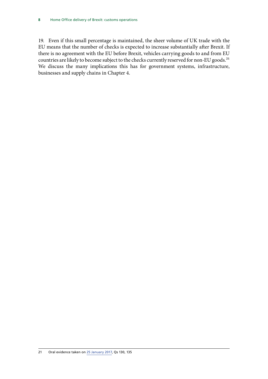19. Even if this small percentage is maintained, the sheer volume of UK trade with the EU means that the number of checks is expected to increase substantially after Brexit. If there is no agreement with the EU before Brexit, vehicles carrying goods to and from EU countries are likely to become subject to the checks currently reserved for non-EU goods.<sup>21</sup> We discuss the many implications this has for government systems, infrastructure, businesses and supply chains in Chapter 4.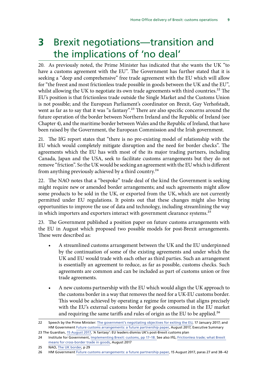## <span id="page-10-0"></span>**3**Brexit negotiations—transition and the implications of 'no deal'

20. As previously noted, the Prime Minister has indicated that she wants the UK "to have a customs agreement with the EU". The Government has further stated that it is seeking a "deep and comprehensive" free trade agreement with the EU which will allow for "the freest and most frictionless trade possible in goods between the UK and the EU", whilst allowing the UK to negotiate its own trade agreements with third countries.<sup>22</sup> The EU's position is that frictionless trade outside the Single Market and the Customs Union is not possible; and the European Parliament's coordinator on Brexit, Guy Verhofstadt, went as far as to say that it was "a fantasy".<sup>23</sup> There are also specific concerns around the future operation of the border between Northern Ireland and the Republic of Ireland (see Chapter 4), and the maritime border between Wales and the Republic of Ireland, that have been raised by the Government, the European Commission and the Irish government.

21. The IfG report states that "there is no pre-existing model of relationship with the EU which would completely mitigate disruption and the need for border checks". The agreements which the EU has with most of the its major trading partners, including Canada, Japan and the USA, seek to facilitate customs arrangements but they do not remove "friction". So the UK would be seeking an agreement with the EU which is different from anything previously achieved by a third country.<sup>24</sup>

22. The NAO notes that a "bespoke" trade deal of the kind the Government is seeking might require new or amended border arrangements; and such agreements might allow some products to be sold in the UK, or exported from the UK, which are not currently permitted under EU regulations. It points out that these changes might also bring opportunities to improve the use of data and technology, including streamlining the way in which importers and exporters interact with government clearance systems.<sup>25</sup>

23. The Government published a position paper on future customs arrangements with the EU in August which proposed two possible models for post-Brexit arrangements. These were described as:

- A streamlined customs arrangement between the UK and the EU underpinned by the continuation of some of the existing agreements and under which the UK and EU would trade with each other as third parties. Such an arrangement is essentially an agreement to reduce, as far as possible, customs checks. Such agreements are common and can be included as part of customs union or free trade agreements.
- A new customs partnership with the EU which would align the UK approach to the customs border in a way that removes the need for a UK-EU customs border. This would be achieved by operating a regime for imports that aligns precisely with the EU's external customs border for goods consumed in the EU market and requiring the same tariffs and rules of origin as the EU to be applied.<sup>26</sup>

<sup>22</sup> Speech by the Prime Minister: [The government's negotiating objectives for exiting the EU,](https://www.gov.uk/government/speeches/the-governments-negotiating-objectives-for-exiting-the-eu-pm-speech) 17 January 2017; and HM Government [Future customs arrangements: a future partnership paper](https://www.gov.uk/government/uploads/system/uploads/attachment_data/file/637748/Future_customs_arrangements_-_a_future_partnership_paper.pdf), August 2017, Executive Summary

<sup>23</sup> The Guardian, [15 August 2017](https://www.theguardian.com/politics/2017/aug/15/european-minister-pours-cold-water-on-uk-interim-trade-proposal-brexit), 'A fantasy': EU leaders dismiss UK's post-Brexit customs plan

<sup>24</sup> Institute for Government, [Implementing Brexit: customs](https://www.instituteforgovernment.org.uk/sites/default/files/publications/IfG_Brexit_customs_WEB_0.pdf), pp 17-18. See also IfG, Frictionless trade; what Brexit [means for cross-border trade in goods](https://www.instituteforgovernment.org.uk/sites/default/files/publications/5704%20IFG%20-%20Frictionless%20Trade%20Web_0.pdf), August 2017

<sup>25</sup> NAO, [The UK border,](https://www.nao.org.uk/wp-content/uploads/2017/10/The-UK-border.pdf) p 29

<sup>26</sup> HM Government [Future customs arrangements: a future partnership paper](https://www.gov.uk/government/uploads/system/uploads/attachment_data/file/637748/Future_customs_arrangements_-_a_future_partnership_paper.pdf), 15 August 2017, paras 27 and 38–42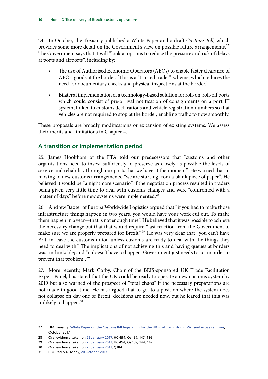<span id="page-11-0"></span>24. In October, the Treasury published a White Paper and a draft *Customs Bill,* which provides some more detail on the Government's view on possible future arrangements.<sup>27</sup> The Government says that it will "look at options to reduce the pressure and risk of delays at ports and airports", including by:

- The use of Authorised Economic Operators (AEOs) to enable faster clearance of AEOs' goods at the border. [This is a "trusted trader" scheme, which reduces the need for documentary checks and physical inspections at the border.]
- Bilateral implementation of a technology-based solution for roll-on, roll-off ports which could consist of pre-arrival notification of consignments on a port IT system, linked to customs declarations and vehicle registration numbers so that vehicles are not required to stop at the border, enabling traffic to flow smoothly.

These proposals are broadly modifications or expansion of existing systems. We assess their merits and limitations in Chapter 4.

## **A transition or implementation period**

25. James Hookham of the FTA told our predecessors that "customs and other organisations need to invest sufficiently to preserve as closely as possible the levels of service and reliability through our ports that we have at the moment". He warned that in moving to new customs arrangements, "we are starting from a blank piece of paper". He believed it would be "a nightmare scenario" if the negotiation process resulted in traders being given very little time to deal with customs changes and were "confronted with a matter of days" before new systems were implemented.<sup>28</sup>

26. Andrew Baxter of Europa Worldwide Logistics argued that "if you had to make those infrastructure things happen in two years, you would have your work cut out. To make them happen in a year—that is not enough time". He believed that it was possible to achieve the necessary change but that that would require "fast reaction from the Government to make sure we are properly prepared for Brexit".<sup>29</sup> He was very clear that "you can't have Britain leave the customs union unless customs are ready to deal with the things they need to deal with". The implications of not achieving this and having queues at borders was unthinkable; and "it doesn't have to happen. Government just needs to act in order to prevent that problem".30

27. More recently, Mark Corby, Chair of the BEIS-sponsored UK Trade Facilitation Expert Panel, has stated that the UK could be ready to operate a new customs system by 2019 but also warned of the prospect of "total chaos" if the necessary preparations are not made in good time. He has argued that to get to a position where the system does not collapse on day one of Brexit, decisions are needed now, but he feared that this was unlikely to happen.<sup>31</sup>

<sup>27</sup> HM Treasury, [White Paper on the Customs Bill](https://www.gov.uk/government/uploads/system/uploads/attachment_data/file/650459/customs_bill_white_paper_web.pdf) [legislating for the UK's future customs, VAT and excise regimes](https://www.gov.uk/government/uploads/system/uploads/attachment_data/file/650459/customs_bill_white_paper_web.pdf), October 2017

<sup>28</sup> Oral evidence taken on [25 January 2017,](http://data.parliament.uk/writtenevidence/committeeevidence.svc/evidencedocument/home-affairs-committee/implications-of-the-uks-exit-from-the-european-union/oral/46107.pdf) HC 494, Qs 137, 147, 186

<sup>29</sup> Oral evidence taken on [25 January 2017,](http://data.parliament.uk/writtenevidence/committeeevidence.svc/evidencedocument/home-affairs-committee/implications-of-the-uks-exit-from-the-european-union/oral/46107.pdf) HC 494, Qs 137, 144, 147

<sup>30</sup> Oral evidence taken on [25 January 2017,](http://data.parliament.uk/writtenevidence/committeeevidence.svc/evidencedocument/home-affairs-committee/implications-of-the-uks-exit-from-the-european-union/oral/46107.pdf) Q184

<sup>31</sup> BBC Radio 4, Today, [20 October 2017](http://www.bbc.co.uk/programmes/b098bt87)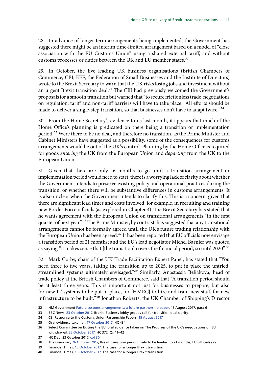28. In advance of longer term arrangements being implemented, the Government has suggested there might be an interim time-limited arrangement based on a model of "close association with the EU Customs Union" using a shared external tariff, and without customs processes or duties between the UK and EU member states.<sup>32</sup>

29. In October, the five leading UK business organisations (British Chambers of Commerce, CBI, EEF, the Federation of Small Businesses and the Institute of Directors) wrote to the Brexit Secretary to warn that the UK risks losing jobs and investment without an urgent Brexit transition deal.<sup>33</sup> The CBI had previously welcomed the Government's proposals for a smooth transition but warned that "to secure frictionless trade, negotiations on regulation, tariff and non-tariff barriers will have to take place. All efforts should be made to deliver a single-step transition, so that businesses don't have to adapt twice."<sup>34</sup>

30. From the Home Secretary's evidence to us last month, it appears that much of the Home Office's planning is predicated on there being a transition or implementation period.<sup>35</sup> Were there to be no deal, and therefore no transition, as the Prime Minister and Cabinet Ministers have suggested as a possibility, some of the consequences for customs arrangements would be out of the UK's control. Planning by the Home Office is required for goods *entering* the UK from the European Union and *departing* from the UK to the European Union.

31. Given that there are only 16 months to go until a transition arrangement or implementation period would need to start, there is a worrying lack of clarity about whether the Government intends to preserve existing policy and operational practices during the transition, or whether there will be substantive differences in customs arrangements. It is also unclear when the Government intends to clarify this. This is a concern, given that there are significant lead times and costs involved; for example, in recruiting and training new Border Force officials (as explored in Chapter 4). The Brexit Secretary has stated that he wants agreement with the European Union on transitional arrangements "in the first quarter of next year".<sup>36</sup> The Prime Minister, by contrast, has suggested that any transitional arrangements cannot be formally agreed until the UK's future trading relationship with the European Union has been agreed.<sup>37</sup> It has been reported that EU officials now envisage a transition period of 21 months; and the EU's lead negotiator Michel Barnier was quoted as saying "it makes sense that [the transition] covers the financial period, so until 2020".<sup>38</sup>

32. Mark Corby, chair of the UK Trade Facilitation Expert Panel, has stated that "You need three to five years, taking the transition up to 2025, to put in place the untried, streamlined systems ultimately envisaged."39 Similarly, Anastassia Beliakova, head of trade policy at the British Chambers of Commerce, said that "A transition period should be at least three years. This is important not just for businesses to prepare, but also for new IT systems to be put in place, for [HMRC] to hire and train new staff, for new infrastructure to be built."40 Jonathan Roberts, the UK Chamber of Shipping's Director

<sup>32</sup> HM Government [Future customs arrangements: a future partnership paper](https://www.gov.uk/government/uploads/system/uploads/attachment_data/file/637748/Future_customs_arrangements_-_a_future_partnership_paper.pdf), 15 August 2017, para 6

<sup>33</sup> BBC News, [23 October 2017](http://www.bbc.co.uk/news/business-41716284), Brexit: Business lobby groups call for transition deal clarity

<sup>34</sup> CBI Response to the Customs Union Partnership Papers, [15 August 2017](https://www.wired-gov.net/wg/news.nsf/articles/CBI+response+to+the+Customs+Union+Partnership+Papers+15082017162500?open)

<sup>35</sup> Oral evidence taken on [17 October 2017](http://data.parliament.uk/writtenevidence/committeeevidence.svc/evidencedocument/home-affairs-committee/the-work-of-the-home-secretary/oral/71645.pdf), HC 434

<sup>36</sup> Select Committee on Exiting the EU, oral evidence taken on The Progress of the UK's negotiations on EU withdrawal, [25 October 2017,](http://data.parliament.uk/writtenevidence/committeeevidence.svc/evidencedocument/exiting-the-european-union-committee/the-progress-of-the-uks-negotiations-on-eu-withdrawal/oral/72017.pdf) HC 372, Qs 41–42

<sup>37</sup> HC Deb, 23 October 2017, [col 30](http://hansard.parliament.uk/commons/2017-10-23/debates/AAC75F82-E84E-4976-86C8-DCCAFC2A7F97/EuropeanCouncil)

<sup>38</sup> The Guardian, [26 October 2017](https://www.theguardian.com/politics/2017/oct/25/brexit-transition-period-likely-limited-20-months-eu-officials-say), Brexit transition period likely to be limited to 21 months, EU officials say

<sup>39</sup> Financial Times, [18 October 2017,](https://www.ft.com/content/6e2bd0ea-b3f9-11e7-a398-73d59db9e399?mhq5j=e7) The case for a longer Brexit transition

<sup>40</sup> Financial Times, [18 October 2017,](https://www.ft.com/content/6e2bd0ea-b3f9-11e7-a398-73d59db9e399?mhq5j=e7) The case for a longer Brexit transition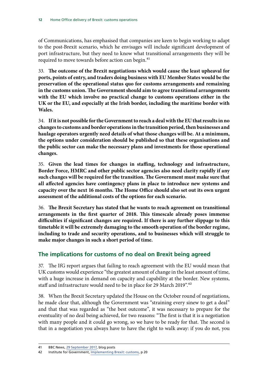<span id="page-13-0"></span>of Communications, has emphasised that companies are keen to begin working to adapt to the post-Brexit scenario, which he envisages will include significant development of port infrastructure, but they need to know what transitional arrangements they will be required to move towards before action can begin.<sup>41</sup>

33. **The outcome of the Brexit negotiations which would cause the least upheaval for ports, points of entry, and traders doing business with EU Member States would be the preservation of the operational status quo for customs arrangements and remaining in the customs union. The Government should aim to agree transitional arrangements with the EU which involve no practical change to customs operations either in the UK or the EU, and especially at the Irish border, including the maritime border with Wales.**

34. **If it is not possible for the Government to reach a deal with the EU that results in no changes to customs and border operations in the transition period, then businesses and haulage operators urgently need details of what those changes will be. At a minimum, the options under consideration should be published so that these organisations and the public sector can make the necessary plans and investments for those operational changes.**

35. **Given the lead times for changes in staffing, technology and infrastructure, Border Force, HMRC and other public sector agencies also need clarity rapidly if any such changes will be required for the transition. The Government must make sure that all affected agencies have contingency plans in place to introduce new systems and capacity over the next 16 months. The Home Office should also set out its own urgent assessment of the additional costs of the options for each scenario.**

36. **The Brexit Secretary has stated that he wants to reach agreement on transitional arrangements in the first quarter of 2018. This timescale already poses immense difficulties if significant changes are required. If there is any further slippage to this timetable it will be extremely damaging to the smooth operation of the border regime, including to trade and security operations, and to businesses which will struggle to make major changes in such a short period of time.**

## **The implications for customs of no deal on Brexit being agreed**

37. The IfG report argues that failing to reach agreement with the EU would mean that UK customs would experience "the greatest amount of change in the least amount of time, with a huge increase in demand on capacity and capability at the border. New systems, staff and infrastructure would need to be in place for 29 March 2019".<sup>42</sup>

38. When the Brexit Secretary updated the House on the October round of negotiations, he made clear that, although the Government was "straining every sinew to get a deal" and that that was regarded as "the best outcome", it was necessary to prepare for the eventuality of no deal being achieved, for two reasons: "The first is that it is a negotiation with many people and it could go wrong, so we have to be ready for that. The second is that in a negotiation you always have to have the right to walk away: if you do not, you

<sup>41</sup> BBC News, [29 September 2017,](https://www.ukchamberofshipping.com/latest/watch-jonathan-roberts-speaks-bbc-news-about-transitional-customs-arrangements/) blog posts

<sup>42</sup> Institute for Government, [Implementing Brexit: customs](https://www.instituteforgovernment.org.uk/sites/default/files/publications/IfG_Brexit_customs_WEB_0.pdf), p 20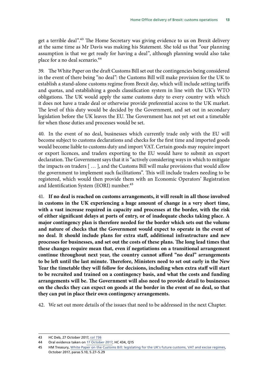get a terrible deal".<sup>43</sup> The Home Secretary was giving evidence to us on Brexit delivery at the same time as Mr Davis was making his Statement. She told us that "our planning assumption is that we get ready for having a deal", although planning would also take place for a no deal scenario.<sup>44</sup>

39. The White Paper on the draft Customs Bill set out the contingencies being considered in the event of there being "no deal": the Customs Bill will make provision for the UK to establish a stand-alone customs regime from Brexit day, which will include setting tariffs and quotas, and establishing a goods classification system in line with the UK's WTO obligations. The UK would apply the same customs duty to every country with which it does not have a trade deal or otherwise provide preferential access to the UK market. The level of this duty would be decided by the Government, and set out in secondary legislation before the UK leaves the EU. The Government has not yet set out a timetable for when those duties and processes would be set.

40. In the event of no deal, businesses which currently trade only with the EU will become subject to customs declarations and checks for the first time and imported goods would become liable to customs duty and import VAT. Certain goods may require import or export licences, and traders exporting to the EU would have to submit an export declaration. The Government says that it is "actively considering ways in which to mitigate the impacts on traders [ … ], and the Customs Bill will make provisions that would allow the government to implement such facilitations". This will include traders needing to be registered, which would then provide them with an Economic Operators' Registration and Identification System (EORI) number.<sup>45</sup>

41. **If no deal is reached on customs arrangements, it will result in all those involved in customs in the UK experiencing a huge amount of change in a very short time, with a vast increase required in capacity and processes at the border, with the risk of either significant delays at ports of entry, or of inadequate checks taking place. A major contingency plan is therefore needed for the border which sets out the volume and nature of checks that the Government would expect to operate in the event of no deal. It should include plans for extra staff, additional infrastructure and new processes for businesses, and set out the costs of these plans. The long lead times that these changes require mean that, even if negotiations on a transitional arrangement continue throughout next year, the country cannot afford "no deal" arrangements to be left until the last minute. Therefore, Ministers need to set out early in the New Year the timetable they will follow for decisions, including when extra staff will start to be recruited and trained on a contingency basis, and what the costs and funding arrangements will be. The Government will also need to provide detail to businesses on the checks they can expect on goods at the border in the event of no deal, so that they can put in place their own contingency arrangements.**

42. We set out more details of the issues that need to be addressed in the next Chapter.

<sup>43</sup> HC Deb, 27 October 2017, [col 736](http://hansard.parliament.uk/commons/2017-10-17/debates/33F0A459-B60E-41EF-931F-51756CFFAF94/EUExitNegotiations)

<sup>44</sup> Oral evidence taken on [17 October 2017](http://data.parliament.uk/writtenevidence/committeeevidence.svc/evidencedocument/home-affairs-committee/the-work-of-the-home-secretary/oral/71645.pdf), HC 434, Q15

<sup>45</sup> HM Treasury, [White Paper on the Customs Bill](https://www.gov.uk/government/uploads/system/uploads/attachment_data/file/650459/customs_bill_white_paper_web.pdf): legislating for the UK's future customs, VAT and excise regimes, October 2017, paras 5.10, 5.27–5.29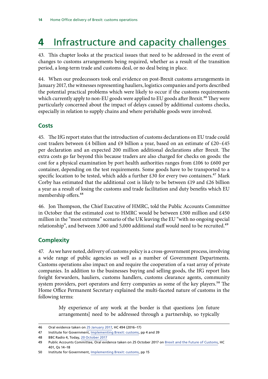## <span id="page-15-0"></span>**4** Infrastructure and capacity challenges

43. This chapter looks at the practical issues that need to be addressed in the event of changes to customs arrangements being required, whether as a result of the transition period, a long-term trade and customs deal, or no deal being in place.

44. When our predecessors took oral evidence on post-Brexit customs arrangements in January 2017, the witnesses representing hauliers, logistics companies and ports described the potential practical problems which were likely to occur if the customs requirements which currently apply to non-EU goods were applied to EU goods after Brexit.<sup>46</sup> They were particularly concerned about the impact of delays caused by additional customs checks, especially in relation to supply chains and where perishable goods were involved.

## **Costs**

45. The IfG report states that the introduction of customs declarations on EU trade could cost traders between £4 billion and £9 billion a year, based on an estimate of £20–£45 per declaration and an expected 200 million additional declarations after Brexit. The extra costs go far beyond this because traders are also charged for checks on goods: the cost for a physical examination by port health authorities ranges from £106 to £600 per container, depending on the test requirements. Some goods have to be transported to a specific location to be tested, which adds a further £30 for every two containers.<sup>47</sup> Mark Corby has estimated that the additional cost is likely to be between £19 and £26 billion a year as a result of losing the customs and trade facilitation and duty benefits which EU membership offers.<sup>48</sup>

46. Jon Thompson, the Chief Executive of HMRC, told the Public Accounts Committee in October that the estimated cost to HMRC would be between £300 million and £450 million in the "most extreme" scenario of the UK leaving the EU "with no ongoing special relationship", and between 3,000 and 5,000 additional staff would need to be recruited.<sup>49</sup>

## **Complexity**

47. As we have noted, delivery of customs policy is a cross-government process, involving a wide range of public agencies as well as a number of Government Departments. Customs operations also impact on and require the cooperation of a vast array of private companies. In addition to the businesses buying and selling goods, the IfG report lists freight forwarders, hauliers, customs handlers, customs clearance agents, community system providers, port operators and ferry companies as some of the key players.<sup>50</sup> The Home Office Permanent Secretary explained the multi-faceted nature of customs in the following terms:

> My experience of any work at the border is that questions [on future arrangements] need to be addressed through a partnership, so typically

<sup>46</sup> Oral evidence taken on [25 January 2017,](http://data.parliament.uk/writtenevidence/committeeevidence.svc/evidencedocument/home-affairs-committee/implications-of-the-uks-exit-from-the-european-union/oral/46107.pdf) HC 494 (2016–17)

<sup>47</sup> Institute for Government, [Implementing Brexit: customs](https://www.instituteforgovernment.org.uk/sites/default/files/publications/IfG_Brexit_customs_WEB_0.pdf), pp 4 and 39

<sup>48</sup> BBC Radio 4, Today, [20 October 2017](http://www.bbc.co.uk/programmes/b098bt87)

<sup>49</sup> Public Accounts Committee, Oral evidence taken on 25 October 2017 on [Brexit and the Future of Customs](http://data.parliament.uk/writtenevidence/committeeevidence.svc/evidencedocument/public-accounts-committee/brexit-and-the-future-of-customs/oral/72078.pdf), HC 401, Qs 14–18

<sup>50</sup> Institute for Government, [Implementing Brexit: customs](https://www.instituteforgovernment.org.uk/sites/default/files/publications/IfG_Brexit_customs_WEB_0.pdf), pp 15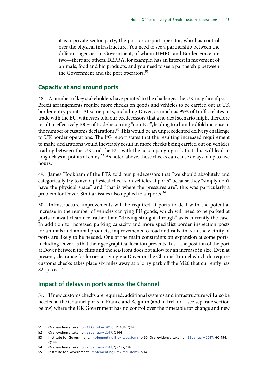<span id="page-16-0"></span>it is a private sector party, the port or airport operator, who has control over the physical infrastructure. You need to see a partnership between the different agencies in Government, of whom HMRC and Border Force are two—there are others. DEFRA, for example, has an interest in movement of animals, food and bio products, and you need to see a partnership between the Government and the port operators.<sup>51</sup>

#### **Capacity at and around ports**

48. A number of key stakeholders have pointed to the challenges the UK may face if post-Brexit arrangements require more checks on goods and vehicles to be carried out at UK border entry points. At some ports, including Dover, as much as 99% of traffic relates to trade with the EU; witnesses told our predecessors that a no deal scenario might therefore result in effectively 100% of trade becoming "non-EU", leading to a hundredfold increase in the number of customs declarations.<sup>52</sup> This would be an unprecedented delivery challenge to UK border operations. The IfG report states that the resulting increased requirement to make declarations would inevitably result in more checks being carried out on vehicles trading between the UK and the EU, with the accompanying risk that this will lead to long delays at points of entry.<sup>53</sup> As noted above, these checks can cause delays of up to five hours.

49. James Hookham of the FTA told our predecessors that "we should absolutely and categorically try to avoid physical checks on vehicles at ports" because they "simply don't have the physical space" and "that is where the pressures are"; this was particularly a problem for Dover. Similar issues also applied to airports.<sup>54</sup>

50. Infrastructure improvements will be required at ports to deal with the potential increase in the number of vehicles carrying EU goods, which will need to be parked at ports to await clearance, rather than "driving straight through" as is currently the case. In addition to increased parking capacity and more specialist border inspection posts for animals and animal products, improvements to road and rails links in the vicinity of ports are likely to be needed. One of the main constraints on expansion at some ports, including Dover, is that their geographical location prevents this—the position of the port at Dover between the cliffs and the sea-front does not allow for an increase in size. Even at present, clearance for lorries arriving via Dover or the Channel Tunnel which do require customs checks takes place six miles away at a lorry park off the M20 that currently has 82 spaces.<sup>55</sup>

### **Impact of delays in ports across the Channel**

51. If new customs checks are required, additional systems and infrastructure will also be needed at the Channel ports in France and Belgium (and in Ireland—see separate section below) where the UK Government has no control over the timetable for change and new

<sup>51</sup> Oral evidence taken on [17 October 2017](http://data.parliament.uk/writtenevidence/committeeevidence.svc/evidencedocument/home-affairs-committee/the-work-of-the-home-secretary/oral/71645.pdf), HC 434, Q14

<sup>52</sup> Oral evidence taken on [25 January 2017,](http://data.parliament.uk/writtenevidence/committeeevidence.svc/evidencedocument/home-affairs-committee/implications-of-the-uks-exit-from-the-european-union/oral/46107.pdf) Q144

<sup>53</sup> Institute for Government, [Implementing Brexit: customs](https://www.instituteforgovernment.org.uk/sites/default/files/publications/IfG_Brexit_customs_WEB_0.pdf), p 20; Oral evidence taken on [25 January 2017](http://data.parliament.uk/writtenevidence/committeeevidence.svc/evidencedocument/home-affairs-committee/implications-of-the-uks-exit-from-the-european-union/oral/46107.pdf), HC 494, Q144

<sup>54</sup> Oral evidence taken on [25 January 2017,](http://data.parliament.uk/writtenevidence/committeeevidence.svc/evidencedocument/home-affairs-committee/implications-of-the-uks-exit-from-the-european-union/oral/46107.pdf) Qs 137, 187

<sup>55</sup> Institute for Government, [Implementing Brexit: customs](https://www.instituteforgovernment.org.uk/sites/default/files/publications/IfG_Brexit_customs_WEB_0.pdf), p 14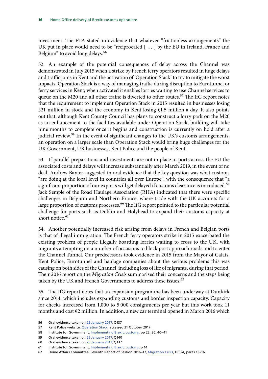investment. The FTA stated in evidence that whatever "frictionless arrangements" the UK put in place would need to be "reciprocated [ … ] by the EU in Ireland, France and Belgium" to avoid long delays.<sup>56</sup>

52. An example of the potential consequences of delay across the Channel was demonstrated in July 2015 when a strike by French ferry operators resulted in huge delays and traffic jams in Kent and the activation of 'Operation Stack' to try to mitigate the worst impacts. Operation Stack is a way of managing traffic during disruption to Eurotunnel or ferry services in Kent; when activated it enables lorries waiting to use Channel services to queue on the M20 and all other traffic is diverted to other routes.<sup>57</sup> The IfG report notes that the requirement to implement Operation Stack in 2015 resulted in businesses losing  $£21$  million in stock and the economy in Kent losing £1.5 million a day. It also points out that, although Kent County Council has plans to construct a lorry park on the M20 as an enhancement to the facilities available under Operation Stack, building will take nine months to complete once it begins and construction is currently on hold after a judicial review.<sup>58</sup> In the event of significant changes to the UK's customs arrangements, an operation on a larger scale than Operation Stack would bring huge challenges for the UK Government, UK businesses, Kent Police and the people of Kent.

53. If parallel preparations and investments are not in place in ports across the EU the associated costs and delays will increase substantially after March 2019, in the event of no deal. Andrew Baxter suggested in oral evidence that the key question was what customs "are doing at the local level in countries all over Europe", with the consequence that "a significant proportion of our exports will get delayed if customs clearance is introduced.<sup>59</sup> Jack Semple of the Road Haulage Association (RHA) indicated that there were specific challenges in Belgium and Northern France, where trade with the UK accounts for a large proportion of customs processes.<sup>60</sup> The IfG report pointed to the particular potential challenge for ports such as Dublin and Holyhead to expand their customs capacity at short notice.<sup>61</sup>

54. Another potentially increased risk arising from delays in French and Belgian ports is that of illegal immigration. The French ferry operators strike in 2015 exacerbated the existing problem of people illegally boarding lorries waiting to cross to the UK, with migrants attempting on a number of occasions to block port approach roads and to enter the Channel Tunnel. Our predecessors took evidence in 2015 from the Mayor of Calais, Kent Police, Eurotunnel and haulage companies about the serious problems this was causing on both sides of the Channel, including loss of life of migrants, during that period. Their 2016 report on the *Migration Crisis* summarised their concerns and the steps being taken by the UK and French Governments to address these issues.<sup>62</sup>

55. The IfG report notes that an expansion programme has been underway at Dunkirk since 2014, which includes expanding customs and border inspection capacity. Capacity for checks increased from 1,000 to 5,000 consignments per year but this work took 11 months and cost €2 million. In addition, a new car terminal opened in March 2016 which

<sup>56</sup> Oral evidence taken on [25 January 2017,](http://data.parliament.uk/writtenevidence/committeeevidence.svc/evidencedocument/home-affairs-committee/implications-of-the-uks-exit-from-the-european-union/oral/46107.pdf) Q137

<sup>57</sup> Kent Police website, [Operation Stack](https://www.kent.police.uk/advice/operation-stack/) [accessed 31 October 2017]

<sup>58</sup> Institute for Government, [Implementing Brexit: customs](https://www.instituteforgovernment.org.uk/sites/default/files/publications/IfG_Brexit_customs_WEB_0.pdf), pp 22, 30, 40–41

<sup>59</sup> Oral evidence taken on [25 January 2017,](http://data.parliament.uk/writtenevidence/committeeevidence.svc/evidencedocument/home-affairs-committee/implications-of-the-uks-exit-from-the-european-union/oral/46107.pdf) Q140

<sup>60</sup> Oral evidence taken on [25 January 2017,](http://data.parliament.uk/writtenevidence/committeeevidence.svc/evidencedocument/home-affairs-committee/implications-of-the-uks-exit-from-the-european-union/oral/46107.pdf) Q137

<sup>61</sup> Institute for Government, [Implementing Brexit: customs](https://www.instituteforgovernment.org.uk/sites/default/files/publications/IfG_Brexit_customs_WEB_0.pdf), p 14

<sup>62</sup> Home Affairs Committee, Seventh Report of Session 2016–17, [Migration Crisis,](https://publications.parliament.uk/pa/cm201617/cmselect/cmhaff/24/24.pdf) HC 24, paras 13–16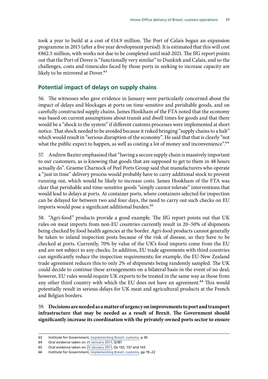<span id="page-18-0"></span>took a year to build at a cost of €14.9 million. The Port of Calais began an expansion programme in 2015 (after a five year development period). It is estimated that this will cost €862.5 million, with works not due to be completed until mid-2021. The IfG report points out that the Port of Dover is "functionally very similar" to Dunkirk and Calais, and so the challenges, costs and timescales faced by those ports in seeking to increase capacity are likely to be mirrored at Dover.<sup>63</sup>

### **Potential impact of delays on supply chains**

56. The witnesses who gave evidence in January were particularly concerned about the impact of delays and blockages at ports on time-sensitive and perishable goods, and on carefully constructed supply chains. James Hookham of the FTA noted that the economy was based on current assumptions about transit and dwell times for goods and that there would be a "shock to the system" if different customs processes were implemented at short notice. That shock needed to be avoided because it risked bringing "supply chains to a halt" which would result in "serious disruption of the economy". He said that that is clearly "not what the public expect to happen, as well as costing a lot of money and inconvenience".<sup>64</sup>

57. Andrew Baxter emphasised that "having a secure supply chain is massively important to our customers, as is knowing that goods that are supposed to get to them in 48 hours actually do". Graeme Charnock of Peel Ports Group said that manufacturers who operate a "just in time" delivery process would probably have to carry additional stock to prevent running out, which would be likely to increase costs. James Hookham of the FTA was clear that perishable and time-sensitive goods "simply cannot tolerate" interventions that would lead to delays at ports. At container ports, where containers selected for inspection can be delayed for between two and four days, the need to carry out such checks on EU imports would pose a significant additional burden.<sup>65</sup>

58. "Agri-food" products provide a good example. The IfG report points out that UK rules on meat imports from non-EU countries currently result in 20–50% of shipments being checked by food health agencies at the border. Agri-food products cannot generally be taken to inland inspection posts because of the risk of disease, so they have to be checked at ports. Currently, 70% by value of the UK's food imports come from the EU and are not subject to any checks. In addition, EU trade agreements with third countries can significantly reduce the inspection requirements; for example, the EU-New Zealand trade agreement reduces this to only 2% of shipments being randomly sampled. The UK could decide to continue these arrangements on a bilateral basis in the event of no deal; however, EU rules would require UK exports to be treated in the same way as those from any other third country with which the EU does not have an agreement.<sup>66</sup> This would potentially result in serious delays for UK meat and agricultural products at the French and Belgian borders.

59. **Decisions are needed as a matter of urgency on improvements to port and transport infrastructure that may be needed as a result of Brexit. The Government should significantly increase its coordination with the privately-owned ports sector to ensure** 

<sup>63</sup> Institute for Government, [Implementing Brexit: customs](https://www.instituteforgovernment.org.uk/sites/default/files/publications/IfG_Brexit_customs_WEB_0.pdf), p 30

<sup>64</sup> Oral evidence taken on [25 January 2017,](http://data.parliament.uk/writtenevidence/committeeevidence.svc/evidencedocument/home-affairs-committee/implications-of-the-uks-exit-from-the-european-union/oral/46107.pdf) Q187

<sup>65</sup> Oral evidence taken on [25 January 2017,](http://data.parliament.uk/writtenevidence/committeeevidence.svc/evidencedocument/home-affairs-committee/implications-of-the-uks-exit-from-the-european-union/oral/46107.pdf) Qs 132, 137 and 143

<sup>66</sup> Institute for Government, [Implementing Brexit:](https://www.instituteforgovernment.org.uk/publications/implementing-brexit-customs-september-2017) customs, pp 19–22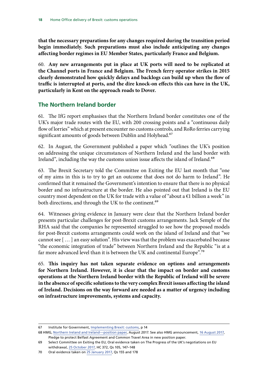<span id="page-19-0"></span>**that the necessary preparations for any changes required during the transition period begin immediately. Such preparations must also include anticipating any changes affecting border regimes in EU Member States, particularly France and Belgium.**

60. **Any new arrangements put in place at UK ports will need to be replicated at the Channel ports in France and Belgium. The French ferry operator strikes in 2015 clearly demonstrated how quickly delays and backlogs can build up when the flow of traffic is interrupted at ports, and the dire knock-on effects this can have in the UK, particularly in Kent on the approach roads to Dover.**

## **The Northern Ireland border**

61. The IfG report emphasises that the Northern Ireland border constitutes one of the UK's major trade routes with the EU, with 200 crossing points and a "continuous daily flow of lorries" which at present encounter no customs controls, and RoRo ferries carrying significant amounts of goods between Dublin and Holyhead.<sup>67</sup>

62. In August, the Government published a paper which "outlines the UK's position on addressing the unique circumstances of Northern Ireland and the land border with Ireland", including the way the customs union issue affects the island of Ireland.<sup>68</sup>

63. The Brexit Secretary told the Committee on Exiting the EU last month that "one of my aims in this is to try to get an outcome that does not do harm to Ireland". He confirmed that it remained the Government's intention to ensure that there is no physical border and no infrastructure at the border. He also pointed out that Ireland is the EU country most dependent on the UK for trade with a value of "about a  $\epsilon$ 1 billion a week" in both directions, and through the UK to the continent.<sup>69</sup>

64. Witnesses giving evidence in January were clear that the Northern Ireland border presents particular challenges for post-Brexit customs arrangements. Jack Semple of the RHA said that the companies he represented struggled to see how the proposed models for post-Brexit customs arrangements could work on the island of Ireland and that "we cannot see [ … ] an easy solution". His view was that the problem was exacerbated because "the economic integration of trade" between Northern Ireland and the Republic "is at a far more advanced level than it is between the UK and continental Europe".<sup>70</sup>

65. **This inquiry has not taken separate evidence on options and arrangements for Northern Ireland. However, it is clear that the impact on border and customs operations at the Northern Ireland border with the Republic of Ireland will be severe in the absence of specific solutions to the very complex Brexit issues affecting the island of Ireland. Decisions on the way forward are needed as a matter of urgency including on infrastructure improvements, systems and capacity.**

<sup>67</sup> Institute for Government, [Implementing Brexit: customs](https://www.instituteforgovernment.org.uk/sites/default/files/publications/IfG_Brexit_customs_WEB_0.pdf), p 14

<sup>68</sup> HMG, [Northern Ireland and Ireland—position paper,](https://www.gov.uk/government/uploads/system/uploads/attachment_data/file/638135/6.3703_DEXEU_Northern_Ireland_and_Ireland_INTERACTIVE.pdf) August 2017. See also HMG announcement, [16 August 2017](https://www.gov.uk/government/news/pledge-to-protect-belfast-agreement-and-common-travel-area-in-new-position-paper), Pledge to protect Belfast Agreement and Common Travel Area in new position paper.

<sup>69</sup> Select Committee on Exiting the EU, Oral evidence taken on The Progress of the UK's negotiations on EU withdrawal, [25 October 2017,](http://data.parliament.uk/writtenevidence/committeeevidence.svc/evidencedocument/exiting-the-european-union-committee/the-progress-of-the-uks-negotiations-on-eu-withdrawal/oral/72017.pdf) HC 372, Qs 105, 147–148

<sup>70</sup> Oral evidence taken on [25 January 2017,](http://data.parliament.uk/writtenevidence/committeeevidence.svc/evidencedocument/home-affairs-committee/implications-of-the-uks-exit-from-the-european-union/oral/46107.pdf) Qs 155 and 178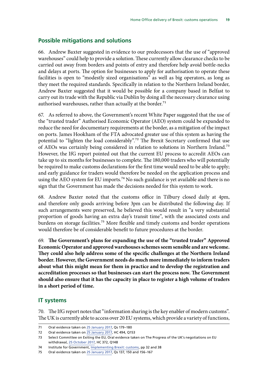#### <span id="page-20-0"></span>**Possible mitigations and solutions**

66. Andrew Baxter suggested in evidence to our predecessors that the use of "approved warehouses" could help to provide a solution. These currently allow clearance checks to be carried out away from borders and points of entry and therefore help avoid bottle-necks and delays at ports. The option for businesses to apply for authorisation to operate these facilities is open to "modestly sized organisations" as well as big operators, as long as they meet the required standards. Specifically in relation to the Northern Ireland border, Andrew Baxter suggested that it would be possible for a company based in Belfast to carry out its trade with the Republic via Dublin by doing all the necessary clearance using authorised warehouses, rather than actually at the border.<sup>71</sup>

67. As referred to above, the Government's recent White Paper suggested that the use of the "trusted trader" Authorised Economic Operator (AEO) system could be expanded to reduce the need for documentary requirements at the border, as a mitigation of the impact on ports. James Hookham of the FTA advocated greater use of this system as having the potential to "lighten the load considerably".72 The Brexit Secretary confirmed that use of AEOs was certainly being considered in relation to solutions in Northern Ireland.73 However, the IfG report pointed out that the current EU process to accredit AEOs can take up to six months for businesses to complete. The 180,000 traders who will potentially be required to make customs declarations for the first time would need to be able to apply; and early guidance for traders would therefore be needed on the application process and using the AEO system for EU imports.<sup>74</sup> No such guidance is yet available and there is no sign that the Government has made the decisions needed for this system to work.

68. Andrew Baxter noted that the customs office in Tilbury closed daily at 4pm, and therefore only goods arriving before 3pm can be distributed the following day. If such arrangements were preserved, he believed this would result in "a very substantial proportion of goods having an extra day's transit time", with the associated costs and burdens on storage facilities.<sup>75</sup> More flexible and timely customs and border operations would therefore be of considerable benefit to future procedures at the border.

69. **The Government's plans for expanding the use of the "trusted trader" Approved Economic Operator and approved warehouses schemes seem sensible and are welcome. They could also help address some of the specific challenges at the Northern Ireland border. However, the Government needs do much more immediately to inform traders about what this might mean for them in practice and to develop the registration and accreditation processes so that businesses can start the process now. The Government should also ensure that it has the capacity in place to register a high volume of traders in a short period of time.**

#### **IT systems**

70. The IfG report notes that "information sharing is the key enabler of modern customs". The UK is currently able to access over 20 EU systems, which provide a variety of functions,

<sup>71</sup> Oral evidence taken on [25 January 2017,](http://data.parliament.uk/writtenevidence/committeeevidence.svc/evidencedocument/home-affairs-committee/implications-of-the-uks-exit-from-the-european-union/oral/46107.pdf) Qs 179–180

<sup>72</sup> Oral evidence taken on [25 January 2017,](http://data.parliament.uk/writtenevidence/committeeevidence.svc/evidencedocument/home-affairs-committee/implications-of-the-uks-exit-from-the-european-union/oral/46107.pdf) HC 494, Q153

<sup>73</sup> Select Committee on Exiting the EU, Oral evidence taken on The Progress of the UK's negotiations on EU withdrawal, [25 October 2017,](http://data.parliament.uk/writtenevidence/committeeevidence.svc/evidencedocument/exiting-the-european-union-committee/the-progress-of-the-uks-negotiations-on-eu-withdrawal/oral/72017.pdf) HC 372, Q148

<sup>74</sup> Institute for Government, [Implementing Brexit: customs](https://www.instituteforgovernment.org.uk/publications/implementing-brexit-customs-september-2017), pp 32 and 38

<sup>75</sup> Oral evidence taken on [25 January 2017,](http://data.parliament.uk/writtenevidence/committeeevidence.svc/evidencedocument/home-affairs-committee/implications-of-the-uks-exit-from-the-european-union/oral/46107.pdf) Qs 137, 150 and 156–167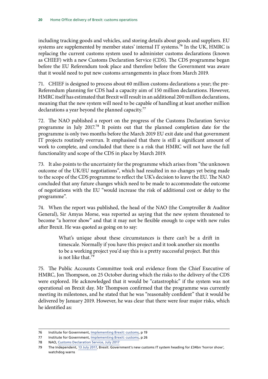including tracking goods and vehicles, and storing details about goods and suppliers. EU systems are supplemented by member states' internal IT systems.<sup>76</sup> In the UK, HMRC is replacing the current customs system used to administer customs declarations (known as CHIEF) with a new Customs Declaration Service (CDS). The CDS programme began before the EU Referendum took place and therefore before the Government was aware that it would need to put new customs arrangements in place from March 2019.

71. CHIEF is designed to process about 60 million customs declarations a year; the pre-Referendum planning for CDS had a capacity aim of 150 million declarations. However, HMRC itself has estimated that Brexit will result in an additional 200 million declarations, meaning that the new system will need to be capable of handling at least another million declarations a year beyond the planned capacity.<sup>77</sup>

72. The NAO published a report on the progress of the Customs Declaration Service programme in July 2017.78 It points out that the planned completion date for the programme is only two months before the March 2019 EU exit date and that government IT projects routinely overrun. It emphasised that there is still a significant amount of work to complete, and concluded that there is a risk that HMRC will not have the full functionality and scope of the CDS in place by March 2019.

73. It also points to the uncertainty for the programme which arises from "the unknown outcome of the UK/EU negotiations", which had resulted in no changes yet being made to the scope of the CDS programme to reflect the UK's decision to leave the EU. The NAO concluded that any future changes which need to be made to accommodate the outcome of negotiations with the EU "would increase the risk of additional cost or delay to the programme".

74. When the report was published, the head of the NAO (the Comptroller & Auditor General), Sir Amyas Morse, was reported as saying that the new system threatened to become "a horror show" and that it may not be flexible enough to cope with new rules after Brexit. He was quoted as going on to say:

> What's unique about these circumstances is there can't be a drift in timescale. Normally if you have this project and it took another six months to be a working project you'd say this is a pretty successful project. But this is not like that.79

75. The Public Accounts Committee took oral evidence from the Chief Executive of HMRC, Jon Thompson, on 25 October during which the risks to the delivery of the CDS were explored. He acknowledged that it would be "catastrophic" if the system was not operational on Brexit day. Mr Thompson confirmed that the programme was currently meeting its milestones, and he stated that he was "reasonably confident" that it would be delivered by January 2019. However, he was clear that there were four major risks, which he identified as:

<sup>76</sup> Institute for Government, [Implementing Brexit:](https://www.instituteforgovernment.org.uk/sites/default/files/publications/IfG_Brexit_customs_WEB_0.pdf) customs, p 19

<sup>77</sup> Institute for Government, [Implementing Brexit: customs](https://www.instituteforgovernment.org.uk/sites/default/files/publications/IfG_Brexit_customs_WEB_0.pdf), p 26

<sup>78</sup> NAO, [Customs Declaration Service](https://www.nao.org.uk/report/the-customs-declaration-service/), July 2017

<sup>79</sup> The Independent, [13 July 2017,](http://data.parliament.uk/writtenevidence/committeeevidence.svc/evidencedocument/home-affairs-committee/implications-of-the-uks-exit-from-the-european-union/oral/46107.pdf) Brexit: Government's new customs IT system heading for £34bn 'horror show', watchdog warns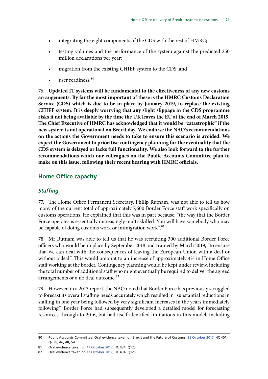- <span id="page-22-0"></span>• integrating the eight components of the CDS with the rest of HMRC;
- testing volumes and the performance of the system against the predicted 250 million declarations per year;
- migration from the existing CHIEF system to the CDS; and
- user readiness.<sup>80</sup>

76. **Updated IT systems will be fundamental to the effectiveness of any new customs arrangements. By far the most important of these is the HMRC Customs Declaration Service (CDS) which is due to be in place by January 2019, to replace the existing CHIEF system. It is deeply worrying that any slight slippage in the CDS programme risks it not being available by the time the UK leaves the EU at the end of March 2019. The Chief Executive of HMRC has acknowledged that it would be "catastrophic" if the new system is not operational on Brexit day. We endorse the NAO's recommendations on the actions the Government needs to take to ensure this scenario is avoided. We expect the Government to prioritise contingency planning for the eventuality that the CDS system is delayed or lacks full functionality. We also look forward to the further recommendations which our colleagues on the Public Accounts Committee plan to make on this issue, following their recent hearing with HMRC officials.**

## **Home Office capacity**

### *Staffing*

77. The Home Office Permanent Secretary, Philip Rutnam, was not able to tell us how many of the current total of approximately 7,600 Border Force staff work specifically on customs operations. He explained that this was in part because: "the way that the Border Force operates is essentially increasingly multi-skilled. You will have somebody who may be capable of doing customs work or immigration work".<sup>81</sup>

78. Mr Rutnam was able to tell us that he was recruiting 300 additional Border Force officers who would be in place by September 2018 and trained by March 2019, "to ensure that we can deal with the consequences of leaving the European Union with a deal or without a deal". This would amount to an increase of approximately 4% in Home Office staff working at the border. Contingency planning would be kept under review, including the total number of additional staff who might eventually be required to deliver the agreed arrangements or a no deal outcome.<sup>82</sup>

79. However, in a 2013 report, the NAO noted that Border Force has previously struggled to forecast its overall staffing needs accurately which resulted in "substantial reductions in staffing in one year being followed by very significant increases in the years immediately following". Border Force had subsequently developed a detailed model for forecasting resources through to 2016, but had itself identified limitations in this model, including

<sup>80</sup> Public Accounts Committee, Oral evidence taken on Brexit and the Future of Customs, [25 October 2017](http://data.parliament.uk/writtenevidence/committeeevidence.svc/evidencedocument/public-accounts-committee/brexit-and-the-future-of-customs/oral/72078.pdf), HC 401, Qs 38, 46, 48, 54

<sup>81</sup> Oral evidence taken on [17 October 2017](http://data.parliament.uk/writtenevidence/committeeevidence.svc/evidencedocument/home-affairs-committee/the-work-of-the-home-secretary/oral/71645.pdf), HC 434, Q125

<sup>82</sup> Oral evidence taken on [17 October 2017](http://data.parliament.uk/writtenevidence/committeeevidence.svc/evidencedocument/home-affairs-committee/the-work-of-the-home-secretary/oral/71645.pdf), HC 434, Q125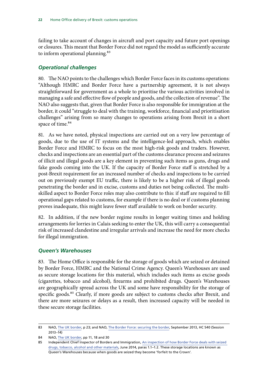<span id="page-23-0"></span>failing to take account of changes in aircraft and port capacity and future port openings or closures. This meant that Border Force did not regard the model as sufficiently accurate to inform operational planning.<sup>83</sup>

### *Operational challenges*

80. The NAO points to the challenges which Border Force faces in its customs operations: "Although HMRC and Border Force have a partnership agreement, it is not always straightforward for government as a whole to prioritise the various activities involved in managing a safe and effective flow of people and goods, and the collection of revenue". The NAO also suggests that, given that Border Force is also responsible for immigration at the border, it could "struggle to deal with the training, workforce, financial and prioritisation challenges" arising from so many changes to operations arising from Brexit in a short space of time.<sup>84</sup>

81. As we have noted, physical inspections are carried out on a very low percentage of goods, due to the use of IT systems and the intelligence-led approach, which enables Border Force and HMRC to focus on the most high-risk goods and traders. However, checks and inspections are an essential part of the customs clearance process and seizures of illicit and illegal goods are a key element in preventing such items as guns, drugs and fake goods coming into the UK. If the capacity of Border Force staff is stretched by a post-Brexit requirement for an increased number of checks and inspections to be carried out on previously exempt EU traffic, there is likely to be a higher risk of illegal goods penetrating the border and in excise, customs and duties not being collected. The multiskilled aspect to Border Force roles may also contribute to this: if staff are required to fill operational gaps related to customs, for example if there is no deal or if customs planning proves inadequate, this might leave fewer staff available to work on border security.

82. In addition, if the new border regime results in longer waiting times and holding arrangements for lorries in Calais seeking to enter the UK, this will carry a consequential risk of increased clandestine and irregular arrivals and increase the need for more checks for illegal immigration.

### *Queen's Warehouses*

83. The Home Office is responsible for the storage of goods which are seized or detained by Border Force, HMRC and the National Crime Agency. Queen's Warehouses are used as secure storage locations for this material, which includes such items as excise goods (cigarettes, tobacco and alcohol), firearms and prohibited drugs. Queen's Warehouses are geographically spread across the UK and some have responsibility for the storage of specific goods.<sup>85</sup> Clearly, if more goods are subject to customs checks after Brexit, and there are more seizures or delays as a result, then increased capacity will be needed in these secure storage facilities.

<sup>83</sup> NAO, [The UK border,](https://www.nao.org.uk/wp-content/uploads/2017/10/The-UK-border.pdf) p 23; and NAO, [The Border Force: securing the border](https://www.nao.org.uk/report/border-force-securing-uk-border/), September 2013, HC 540 (Session 2013–14)

<sup>84</sup> NAO, [The UK border,](https://www.nao.org.uk/wp-content/uploads/2017/10/The-UK-border.pdf) pp 11, 18 and 30

<sup>85</sup> Independent Chief Inspector of Borders and Immigration, [An inspection of how Border Force deals with seized](https://www.gov.uk/government/uploads/system/uploads/attachment_data/file/547333/Queens-Warehouse-Inspection-Report_Dec_2014.pdf)  [drugs, tobacco, alcohol and other materials](https://www.gov.uk/government/uploads/system/uploads/attachment_data/file/547333/Queens-Warehouse-Inspection-Report_Dec_2014.pdf), June 2014, paras 1.1–1.2. These storage locations are known as Queen's Warehouses because when goods are seized they become 'forfeit to the Crown'.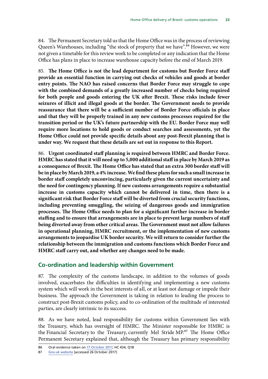<span id="page-24-0"></span>84. The Permanent Secretary told us that the Home Office was in the process of reviewing Queen's Warehouses, including "the stock of property that we have".<sup>86</sup> However, we were not given a timetable for this review work to be completed or any indication that the Home Office has plans in place to increase warehouse capacity before the end of March 2019.

85. **The Home Office is not the lead department for customs but Border Force staff provide an essential function in carrying out checks of vehicles and goods at border entry points. The NAO has raised concerns that Border Force may struggle to cope with the combined demands of a greatly increased number of checks being required for both people and goods entering the UK after Brexit. These risks include fewer seizures of illicit and illegal goods at the border. The Government needs to provide reassurance that there will be a sufficient number of Border Force officials in place and that they will be properly trained in any new customs processes required for the transition period or the UK's future partnership with the EU. Border Force may well require more locations to hold goods or conduct searches and assessments, yet the Home Office could not provide specific details about any post-Brexit planning that is under way. We request that these details are set out in response to this Report.**

86. **Urgent coordinated staff planning is required between HMRC and Border Force. HMRC has stated that it will need up to 5,000 additional staff in place by March 2019 as a consequence of Brexit. The Home Office has stated that an extra 300 border staff will be in place by March 2019, a 4% increase. We find these plans for such a small increase in border staff completely unconvincing, particularly given the current uncertainty and the need for contingency planning. If new customs arrangements require a substantial increase in customs capacity which cannot be delivered in time, then there is a significant risk that Border Force staff will be diverted from crucial security functions, including preventing smuggling, the seizing of dangerous goods and immigration processes. The Home Office needs to plan for a significant further increase in border staffing and to ensure that arrangements are in place to prevent large numbers of staff being diverted away from other critical areas. The Government must not allow failures in operational planning, HMRC recruitment, or the implementation of new customs arrangements to jeopardise UK border security. We will return to consider further the relationship between the immigration and customs functions which Border Force and HMRC staff carry out, and whether any changes need to be made.**

### **Co-ordination and leadership within Government**

87. The complexity of the customs landscape, in addition to the volumes of goods involved, exacerbates the difficulties in identifying and implementing a new customs system which will work in the best interests of all, or at least not damage or impede their business. The approach the Government is taking in relation to leading the process to construct post-Brexit customs policy, and to co-ordination of the multitude of interested parties, are clearly intrinsic to its success.

88. As we have noted, lead responsibility for customs within Government lies with the Treasury, which has oversight of HMRC. The Minister responsible for HMRC is the Financial Secretary to the Treasury, currently Mel Stride MP.<sup>87</sup> The Home Office Permanent Secretary explained that, although the Treasury has primary responsibility

<sup>86</sup> Oral evidence taken on [17 October 2017](http://data.parliament.uk/writtenevidence/committeeevidence.svc/evidencedocument/home-affairs-committee/the-work-of-the-home-secretary/oral/71645.pdf), HC 434, Q18

<sup>87</sup> [Gov.uk website](https://www.gov.uk/government/people/mel-stride) [accessed 26 October 2017]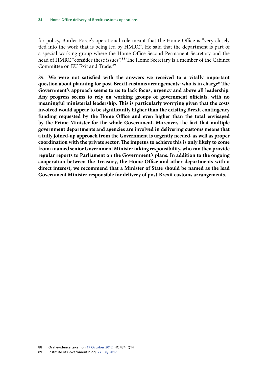for policy, Border Force's operational role meant that the Home Office is "very closely tied into the work that is being led by HMRC". He said that the department is part of a special working group where the Home Office Second Permanent Secretary and the head of HMRC "consider these issues".<sup>88</sup> The Home Secretary is a member of the Cabinet Committee on EU Exit and Trade.<sup>89</sup>

89. **We were not satisfied with the answers we received to a vitally important question about planning for post-Brexit customs arrangements: who is in charge? The Government's approach seems to us to lack focus, urgency and above all leadership. Any progress seems to rely on working groups of government officials, with no meaningful ministerial leadership. This is particularly worrying given that the costs involved would appear to be significantly higher than the existing Brexit contingency funding requested by the Home Office and even higher than the total envisaged by the Prime Minister for the whole Government. Moreover, the fact that multiple government departments and agencies are involved in delivering customs means that a fully joined-up approach from the Government is urgently needed, as well as proper coordination with the private sector. The impetus to achieve this is only likely to come from a named senior Government Minister taking responsibility, who can then provide regular reports to Parliament on the Government's plans. In addition to the ongoing cooperation between the Treasury, the Home Office and other departments with a direct interest, we recommend that a Minister of State should be named as the lead Government Minister responsible for delivery of post-Brexit customs arrangements.**

<sup>88</sup> Oral evidence taken on [17 October 2017](http://data.parliament.uk/writtenevidence/committeeevidence.svc/evidencedocument/home-affairs-committee/the-work-of-the-home-secretary/oral/71645.pdf), HC 434, Q14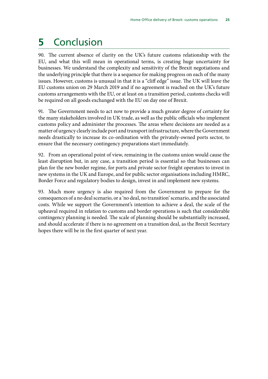## <span id="page-26-0"></span>**5** Conclusion

90. The current absence of clarity on the UK's future customs relationship with the EU, and what this will mean in operational terms, is creating huge uncertainty for businesses. We understand the complexity and sensitivity of the Brexit negotiations and the underlying principle that there is a sequence for making progress on each of the many issues. However, customs is unusual in that it is a "cliff edge" issue. The UK will leave the EU customs union on 29 March 2019 and if no agreement is reached on the UK's future customs arrangements with the EU, or at least on a transition period, customs checks will be required on all goods exchanged with the EU on day one of Brexit.

91. The Government needs to act now to provide a much greater degree of certainty for the many stakeholders involved in UK trade, as well as the public officials who implement customs policy and administer the processes. The areas where decisions are needed as a matter of urgency clearly include port and transport infrastructure, where the Government needs drastically to increase its co-ordination with the privately-owned ports sector, to ensure that the necessary contingency preparations start immediately.

92. From an operational point of view, remaining in the customs union would cause the least disruption but, in any case, a transition period is essential so that businesses can plan for the new border regime, for ports and private sector freight operators to invest in new systems in the UK and Europe, and for public sector organisations including HMRC, Border Force and regulatory bodies to design, invest in and implement new systems.

93. Much more urgency is also required from the Government to prepare for the consequences of a no deal scenario, or a 'no deal, no transition' scenario, and the associated costs. While we support the Government's intention to achieve a deal, the scale of the upheaval required in relation to customs and border operations is such that considerable contingency planning is needed. The scale of planning should be substantially increased, and should accelerate if there is no agreement on a transition deal, as the Brexit Secretary hopes there will be in the first quarter of next year.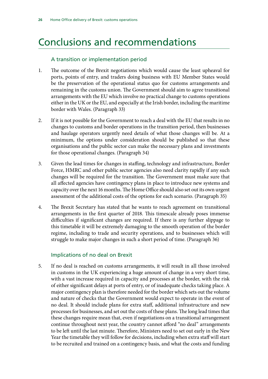## <span id="page-27-0"></span>Conclusions and recommendations

### A transition or implementation period

- 1. The outcome of the Brexit negotiations which would cause the least upheaval for ports, points of entry, and traders doing business with EU Member States would be the preservation of the operational status quo for customs arrangements and remaining in the customs union. The Government should aim to agree transitional arrangements with the EU which involve no practical change to customs operations either in the UK or the EU, and especially at the Irish border, including the maritime border with Wales. (Paragraph 33)
- 2. If it is not possible for the Government to reach a deal with the EU that results in no changes to customs and border operations in the transition period, then businesses and haulage operators urgently need details of what those changes will be. At a minimum, the options under consideration should be published so that these organisations and the public sector can make the necessary plans and investments for those operational changes. (Paragraph 34)
- 3. Given the lead times for changes in staffing, technology and infrastructure, Border Force, HMRC and other public sector agencies also need clarity rapidly if any such changes will be required for the transition. The Government must make sure that all affected agencies have contingency plans in place to introduce new systems and capacity over the next 16 months. The Home Office should also set out its own urgent assessment of the additional costs of the options for each scenario. (Paragraph 35)
- 4. The Brexit Secretary has stated that he wants to reach agreement on transitional arrangements in the first quarter of 2018. This timescale already poses immense difficulties if significant changes are required. If there is any further slippage to this timetable it will be extremely damaging to the smooth operation of the border regime, including to trade and security operations, and to businesses which will struggle to make major changes in such a short period of time. (Paragraph 36)

### Implications of no deal on Brexit

5. If no deal is reached on customs arrangements, it will result in all those involved in customs in the UK experiencing a huge amount of change in a very short time, with a vast increase required in capacity and processes at the border, with the risk of either significant delays at ports of entry, or of inadequate checks taking place. A major contingency plan is therefore needed for the border which sets out the volume and nature of checks that the Government would expect to operate in the event of no deal. It should include plans for extra staff, additional infrastructure and new processes for businesses, and set out the costs of these plans. The long lead times that these changes require mean that, even if negotiations on a transitional arrangement continue throughout next year, the country cannot afford "no deal" arrangements to be left until the last minute. Therefore, Ministers need to set out early in the New Year the timetable they will follow for decisions, including when extra staff will start to be recruited and trained on a contingency basis, and what the costs and funding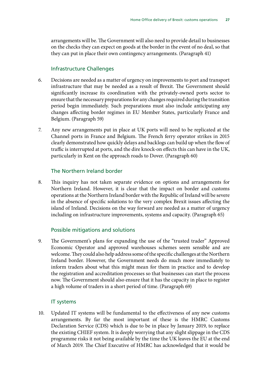arrangements will be. The Government will also need to provide detail to businesses on the checks they can expect on goods at the border in the event of no deal, so that they can put in place their own contingency arrangements. (Paragraph 41)

#### Infrastructure Challenges

- 6. Decisions are needed as a matter of urgency on improvements to port and transport infrastructure that may be needed as a result of Brexit. The Government should significantly increase its coordination with the privately-owned ports sector to ensure that the necessary preparations for any changes required during the transition period begin immediately. Such preparations must also include anticipating any changes affecting border regimes in EU Member States, particularly France and Belgium. (Paragraph 59)
- 7. Any new arrangements put in place at UK ports will need to be replicated at the Channel ports in France and Belgium. The French ferry operator strikes in 2015 clearly demonstrated how quickly delays and backlogs can build up when the flow of traffic is interrupted at ports, and the dire knock-on effects this can have in the UK, particularly in Kent on the approach roads to Dover. (Paragraph 60)

#### The Northern Ireland border

8. This inquiry has not taken separate evidence on options and arrangements for Northern Ireland. However, it is clear that the impact on border and customs operations at the Northern Ireland border with the Republic of Ireland will be severe in the absence of specific solutions to the very complex Brexit issues affecting the island of Ireland. Decisions on the way forward are needed as a matter of urgency including on infrastructure improvements, systems and capacity. (Paragraph 65)

### Possible mitigations and solutions

9. The Government's plans for expanding the use of the "trusted trader" Approved Economic Operator and approved warehouses schemes seem sensible and are welcome. They could also help address some of the specific challenges at the Northern Ireland border. However, the Government needs do much more immediately to inform traders about what this might mean for them in practice and to develop the registration and accreditation processes so that businesses can start the process now. The Government should also ensure that it has the capacity in place to register a high volume of traders in a short period of time. (Paragraph 69)

#### IT systems

10. Updated IT systems will be fundamental to the effectiveness of any new customs arrangements. By far the most important of these is the HMRC Customs Declaration Service (CDS) which is due to be in place by January 2019, to replace the existing CHIEF system. It is deeply worrying that any slight slippage in the CDS programme risks it not being available by the time the UK leaves the EU at the end of March 2019. The Chief Executive of HMRC has acknowledged that it would be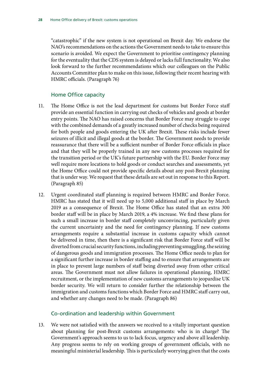"catastrophic" if the new system is not operational on Brexit day. We endorse the NAO's recommendations on the actions the Government needs to take to ensure this scenario is avoided. We expect the Government to prioritise contingency planning for the eventuality that the CDS system is delayed or lacks full functionality. We also look forward to the further recommendations which our colleagues on the Public Accounts Committee plan to make on this issue, following their recent hearing with HMRC officials. (Paragraph 76)

#### Home Office capacity

- 11. The Home Office is not the lead department for customs but Border Force staff provide an essential function in carrying out checks of vehicles and goods at border entry points. The NAO has raised concerns that Border Force may struggle to cope with the combined demands of a greatly increased number of checks being required for both people and goods entering the UK after Brexit. These risks include fewer seizures of illicit and illegal goods at the border. The Government needs to provide reassurance that there will be a sufficient number of Border Force officials in place and that they will be properly trained in any new customs processes required for the transition period or the UK's future partnership with the EU. Border Force may well require more locations to hold goods or conduct searches and assessments, yet the Home Office could not provide specific details about any post-Brexit planning that is under way. We request that these details are set out in response to this Report. (Paragraph 85)
- 12. Urgent coordinated staff planning is required between HMRC and Border Force. HMRC has stated that it will need up to 5,000 additional staff in place by March 2019 as a consequence of Brexit. The Home Office has stated that an extra 300 border staff will be in place by March 2019, a 4% increase. We find these plans for such a small increase in border staff completely unconvincing, particularly given the current uncertainty and the need for contingency planning. If new customs arrangements require a substantial increase in customs capacity which cannot be delivered in time, then there is a significant risk that Border Force staff will be diverted from crucial security functions, including preventing smuggling, the seizing of dangerous goods and immigration processes. The Home Office needs to plan for a significant further increase in border staffing and to ensure that arrangements are in place to prevent large numbers of staff being diverted away from other critical areas. The Government must not allow failures in operational planning, HMRC recruitment, or the implementation of new customs arrangements to jeopardise UK border security. We will return to consider further the relationship between the immigration and customs functions which Border Force and HMRC staff carry out, and whether any changes need to be made. (Paragraph 86)

#### Co-ordination and leadership within Government

13. We were not satisfied with the answers we received to a vitally important question about planning for post-Brexit customs arrangements: who is in charge? The Government's approach seems to us to lack focus, urgency and above all leadership. Any progress seems to rely on working groups of government officials, with no meaningful ministerial leadership. This is particularly worrying given that the costs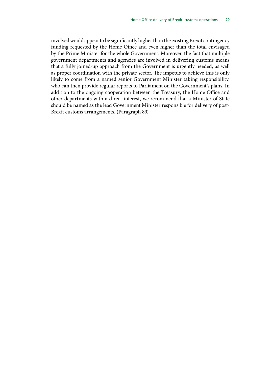involved would appear to be significantly higher than the existing Brexit contingency funding requested by the Home Office and even higher than the total envisaged by the Prime Minister for the whole Government. Moreover, the fact that multiple government departments and agencies are involved in delivering customs means that a fully joined-up approach from the Government is urgently needed, as well as proper coordination with the private sector. The impetus to achieve this is only likely to come from a named senior Government Minister taking responsibility, who can then provide regular reports to Parliament on the Government's plans. In addition to the ongoing cooperation between the Treasury, the Home Office and other departments with a direct interest, we recommend that a Minister of State should be named as the lead Government Minister responsible for delivery of post-Brexit customs arrangements. (Paragraph 89)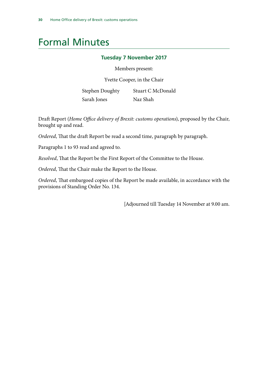## <span id="page-31-0"></span>Formal Minutes

#### **Tuesday 7 November 2017**

Members present:

Yvette Cooper, in the Chair

Stephen Doughty Sarah Jones Stuart C McDonald Naz Shah

Draft Report (*Home Office delivery of Brexit: customs operations*), proposed by the Chair, brought up and read.

*Ordered*, That the draft Report be read a second time, paragraph by paragraph.

Paragraphs 1 to 93 read and agreed to.

*Resolved*, That the Report be the First Report of the Committee to the House.

*Ordered*, That the Chair make the Report to the House.

*Ordered*, That embargoed copies of the Report be made available, in accordance with the provisions of Standing Order No. 134.

[Adjourned till Tuesday 14 November at 9.00 am.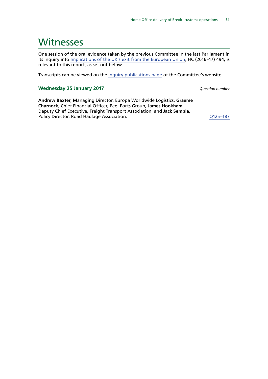## <span id="page-32-0"></span>**Witnesses**

One session of the oral evidence taken by the previous Committee in the last Parliament in its inquiry into [Implications of the UK's exit from the European Union,](http://www.parliament.uk/business/committees/committees-a-z/commons-select/home-affairs-committee/inquiries/parliament-2015/inquiry5/) HC (2016–17) 494, is relevant to this report, as set out below.

Transcripts can be viewed on the [inquiry publications page](http://www.parliament.uk/business/committees/committees-a-z/commons-select/home-affairs-committee/inquiries/parliament-2015/inquiry5/publications/) of the Committee's website.

#### **Wednesday 25 January 2017** *Question number*

**Andrew Baxter**, Managing Director, Europa Worldwide Logistics, **Graeme Charnock**, Chief Financial Officer, Peel Ports Group, **James Hookham**, Deputy Chief Executive, Freight Transport Association, and **Jack Semple**, Policy Director, Road Haulage Association. Communication and COMEX COMEX CONSERVATION Of the COMEX CONSERVATION